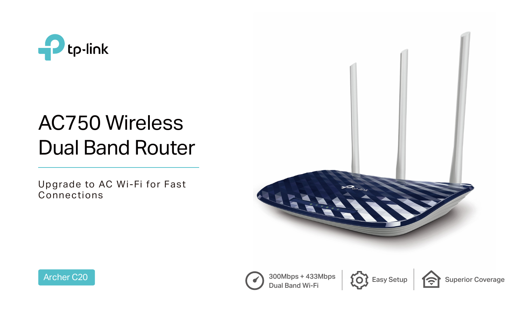

# AC750 Wireless Dual Band Router





Upgrade to AC Wi-Fi for Fast Connections





Dual Band Wi-Fi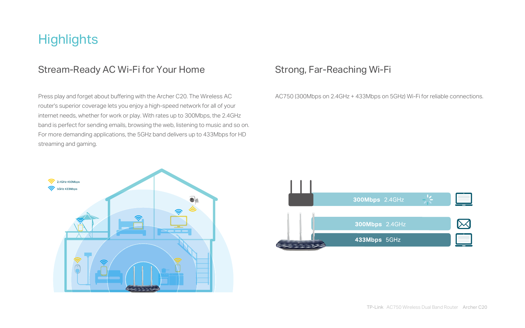## **Highlights**

### Stream-Ready AC Wi-Fi for Your Home

Press play and forget about buffering with the Archer C20. The Wireless AC router's superior coverage lets you enjoy a high-speed network for all of your internet needs, whether for work or play. With rates up to 300Mbps, the 2.4GHz band is perfect for sending emails, browsing the web, listening to music and so on. For more demanding applications, the 5GHz band delivers up to 433Mbps for HD streaming and gaming.



## Strong, Far-Reaching Wi-Fi

AC750 (300Mbps on 2.4GHz + 433Mbps on 5GHz) Wi-Fi for reliable connections.



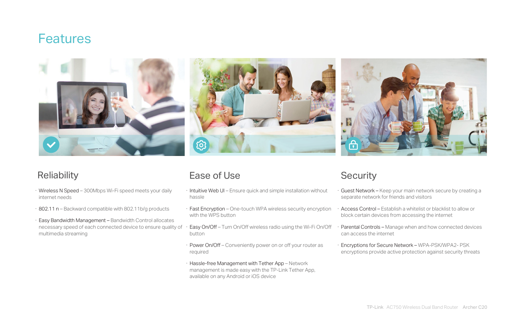## **Features**



## Reliability

- · Intuitive Web UI Ensure quick and simple installation without hassle
- · Fast Encryption One-touch WPA wireless security encryption with the WPS button · Access Control – Establish a whitelist or blacklist to allow or block certain devices from accessing the internet
- Easy On/Off Turn On/Off wireless radio using the Wi-Fi On/Off button · Parental Controls – Manage when and how connected devices can access the internet
- · Power On/Off Conveniently power on or off your router as required
- · Hassle-free Management with Tether App Network management is made easy with the TP-Link Tether App, available on any Android or iOS device

Guest Network – Keep your main network secure by creating a separate network for friends and visitors

Encryptions for Secure Network - WPA-PSK/WPA2- PSK encryptions provide active protection against security threats

- · Wireless N Speed 300Mbps Wi-Fi speed meets your daily internet needs
- · 802.11 n Backward compatible with 802.11b/g products
- · Easy Bandwidth Management Bandwidth Control allocates necessary speed of each connected device to ensure quality of multimedia streaming

### Ease of Use Security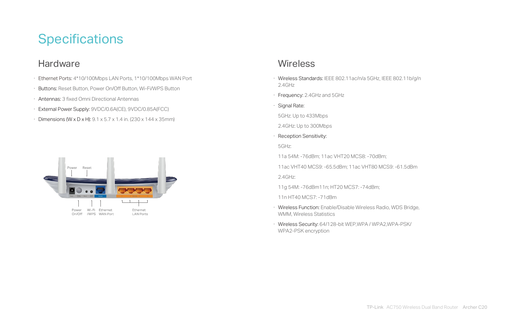## **Specifications**

### **Hardware**

- · Ethernet Ports: 4\*10/100Mbps LAN Ports, 1\*10/100Mbps WAN Port
- · Buttons: Reset Button, Power On/Off Button, Wi-Fi/WPS Button
- · Antennas: 3 fixed Omni Directional Antennas
- · External Power Supply: 9VDC/0.6A(CE), 9VDC/0.85A(FCC)
- · Dimensions (W x D x H): 9.1 x 5.7 x 1.4 in. (230 x 144 x 35mm)



### **Wireless**

· Wireless Standards: IEEE 802.11ac/n/a 5GHz, IEEE 802.11b/g/n

11a 54M: -76dBm; 11ac VHT20 MCS8: -70dBm;

11ac VHT40 MCS9: -65.5dBm; 11ac VHT80 MCS9: -61.5dBm

- 2.4GHz
- · Frequency: 2.4GHz and 5GHz
- · Signal Rate:
- 5GHz: Up to 433Mbps
- 2.4GHz: Up to 300Mbps
- · Reception Sensitivity: 5GHz:
- 
- 
- 2.4GHz:
- 
- 11n HT40 MCS7: -71dBm
- WMM, Wireless Statistics
- WPA2-PSK encryption

11g 54M: -76dBm11n; HT20 MCS7: -74dBm;

· Wireless Function: Enable/Disable Wireless Radio, WDS Bridge,

· Wireless Security: 64/128-bit WEP,WPA / WPA2,WPA-PSK/